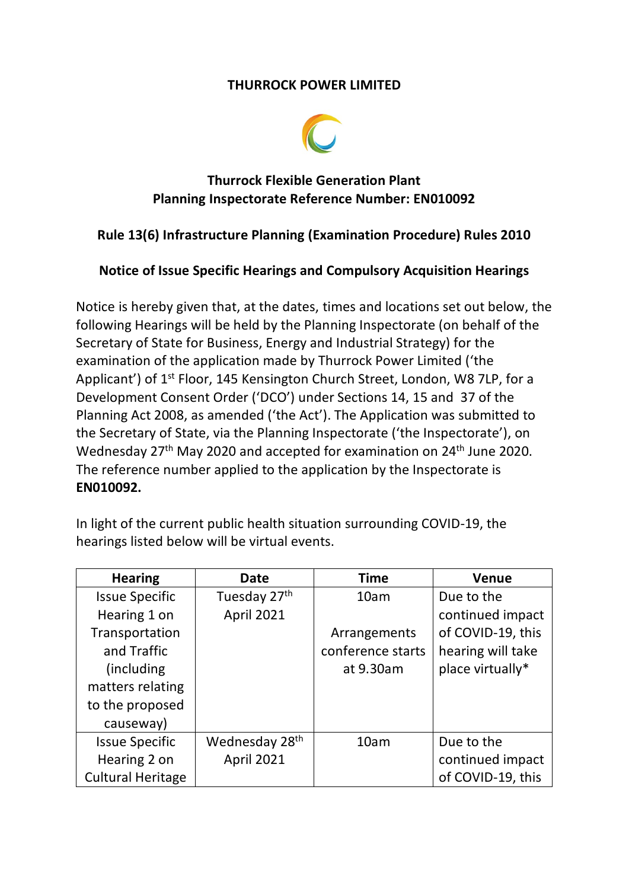#### **THURROCK POWER LIMITED**



## **Thurrock Flexible Generation Plant Planning Inspectorate Reference Number: EN010092**

### **Rule 13(6) Infrastructure Planning (Examination Procedure) Rules 2010**

#### **Notice of Issue Specific Hearings and Compulsory Acquisition Hearings**

Notice is hereby given that, at the dates, times and locations set out below, the following Hearings will be held by the Planning Inspectorate (on behalf of the Secretary of State for Business, Energy and Industrial Strategy) for the examination of the application made by Thurrock Power Limited ('the Applicant') of 1<sup>st</sup> Floor, 145 Kensington Church Street, London, W8 7LP, for a Development Consent Order ('DCO') under Sections 14, 15 and 37 of the Planning Act 2008, as amended ('the Act'). The Application was submitted to the Secretary of State, via the Planning Inspectorate ('the Inspectorate'), on Wednesday 27<sup>th</sup> May 2020 and accepted for examination on 24<sup>th</sup> June 2020. The reference number applied to the application by the Inspectorate is **EN010092.**

In light of the current public health situation surrounding COVID-19, the hearings listed below will be virtual events.

| <b>Hearing</b>           | <b>Date</b>                | <b>Time</b>       | <b>Venue</b>      |
|--------------------------|----------------------------|-------------------|-------------------|
| <b>Issue Specific</b>    | Tuesday 27th               | 10am              | Due to the        |
| Hearing 1 on             | April 2021                 |                   | continued impact  |
| Transportation           |                            | Arrangements      | of COVID-19, this |
| and Traffic              |                            | conference starts | hearing will take |
| (including)              |                            | at 9.30am         | place virtually*  |
| matters relating         |                            |                   |                   |
| to the proposed          |                            |                   |                   |
| causeway)                |                            |                   |                   |
| <b>Issue Specific</b>    | Wednesday 28 <sup>th</sup> | 10am              | Due to the        |
| Hearing 2 on             | April 2021                 |                   | continued impact  |
| <b>Cultural Heritage</b> |                            |                   | of COVID-19, this |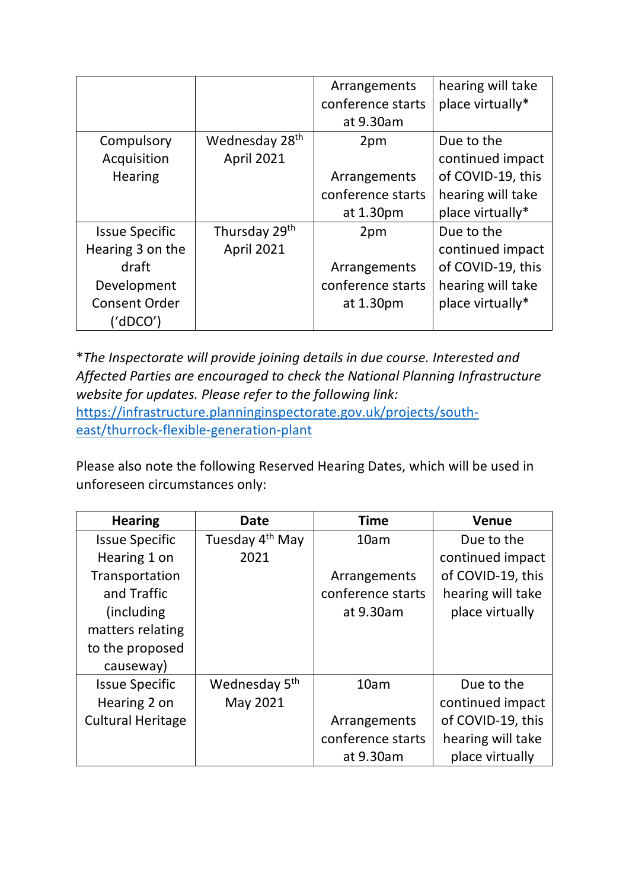|                       |                            | Arrangements      | hearing will take |
|-----------------------|----------------------------|-------------------|-------------------|
|                       |                            | conference starts | place virtually*  |
|                       |                            | at 9.30am         |                   |
| Compulsory            | Wednesday 28 <sup>th</sup> | 2pm               | Due to the        |
| Acquisition           | <b>April 2021</b>          |                   | continued impact  |
| <b>Hearing</b>        |                            | Arrangements      | of COVID-19, this |
|                       |                            | conference starts | hearing will take |
|                       |                            | at 1.30pm         | place virtually*  |
| <b>Issue Specific</b> | Thursday 29th              | 2pm               | Due to the        |
| Hearing 3 on the      | <b>April 2021</b>          |                   | continued impact  |
| draft                 |                            | Arrangements      | of COVID-19, this |
| Development           |                            | conference starts | hearing will take |
| <b>Consent Order</b>  |                            | at 1.30pm         | place virtually*  |
| ('dDCO')              |                            |                   |                   |

\**The Inspectorate will provide joining details in due course. Interested and Affected Parties are encouraged to check the National Planning Infrastructure website for updates. Please refer to the following link:*  [https://infrastructure.planninginspectorate.gov.uk/projects/south](https://infrastructure.planninginspectorate.gov.uk/projects/south-east/thurrock-flexible-generation-plant)[east/thurrock-flexible-generation-plant](https://infrastructure.planninginspectorate.gov.uk/projects/south-east/thurrock-flexible-generation-plant)

Please also note the following Reserved Hearing Dates, which will be used in unforeseen circumstances only:

| <b>Hearing</b>           | Date                        | <b>Time</b>       | <b>Venue</b>      |
|--------------------------|-----------------------------|-------------------|-------------------|
| <b>Issue Specific</b>    | Tuesday 4 <sup>th</sup> May | 10am              | Due to the        |
| Hearing 1 on             | 2021                        |                   | continued impact  |
| Transportation           |                             | Arrangements      | of COVID-19, this |
| and Traffic              |                             | conference starts | hearing will take |
| (including)              |                             | at 9.30am         | place virtually   |
| matters relating         |                             |                   |                   |
| to the proposed          |                             |                   |                   |
| causeway)                |                             |                   |                   |
| <b>Issue Specific</b>    | Wednesday 5 <sup>th</sup>   | 10am              | Due to the        |
| Hearing 2 on             | May 2021                    |                   | continued impact  |
| <b>Cultural Heritage</b> |                             | Arrangements      | of COVID-19, this |
|                          |                             | conference starts | hearing will take |
|                          |                             | at 9.30am         | place virtually   |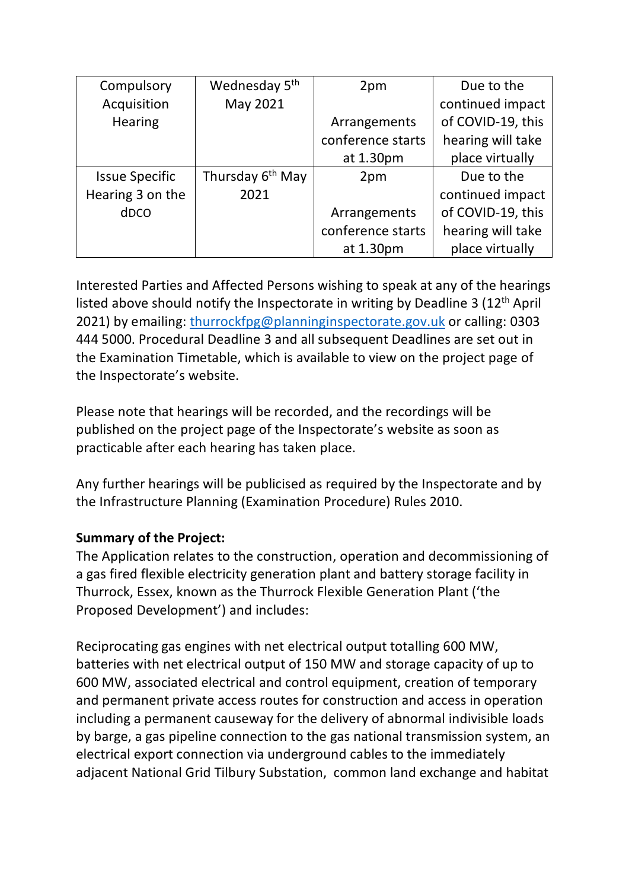| Compulsory            | Wednesday 5 <sup>th</sup>    | 2pm               | Due to the        |
|-----------------------|------------------------------|-------------------|-------------------|
| Acquisition           | May 2021                     |                   | continued impact  |
| <b>Hearing</b>        |                              | Arrangements      | of COVID-19, this |
|                       |                              | conference starts | hearing will take |
|                       |                              | at 1.30pm         | place virtually   |
| <b>Issue Specific</b> | Thursday 6 <sup>th</sup> May | 2pm               | Due to the        |
| Hearing 3 on the      | 2021                         |                   | continued impact  |
| d <sub>DCO</sub>      |                              | Arrangements      | of COVID-19, this |
|                       |                              | conference starts | hearing will take |
|                       |                              | at 1.30pm         | place virtually   |

Interested Parties and Affected Persons wishing to speak at any of the hearings listed above should notify the Inspectorate in writing by Deadline 3 (12<sup>th</sup> April 2021) by emailing: [thurrockfpg@planninginspectorate.gov.uk](mailto:thurrockfpg@planninginspectorate.gov.uk) or calling: 0303 444 5000. Procedural Deadline 3 and all subsequent Deadlines are set out in the Examination Timetable, which is available to view on the project page of the Inspectorate's website.

Please note that hearings will be recorded, and the recordings will be published on the project page of the Inspectorate's website as soon as practicable after each hearing has taken place.

Any further hearings will be publicised as required by the Inspectorate and by the Infrastructure Planning (Examination Procedure) Rules 2010.

## **Summary of the Project:**

The Application relates to the construction, operation and decommissioning of a gas fired flexible electricity generation plant and battery storage facility in Thurrock, Essex, known as the Thurrock Flexible Generation Plant ('the Proposed Development') and includes:

Reciprocating gas engines with net electrical output totalling 600 MW, batteries with net electrical output of 150 MW and storage capacity of up to 600 MW, associated electrical and control equipment, creation of temporary and permanent private access routes for construction and access in operation including a permanent causeway for the delivery of abnormal indivisible loads by barge, a gas pipeline connection to the gas national transmission system, an electrical export connection via underground cables to the immediately adjacent National Grid Tilbury Substation, common land exchange and habitat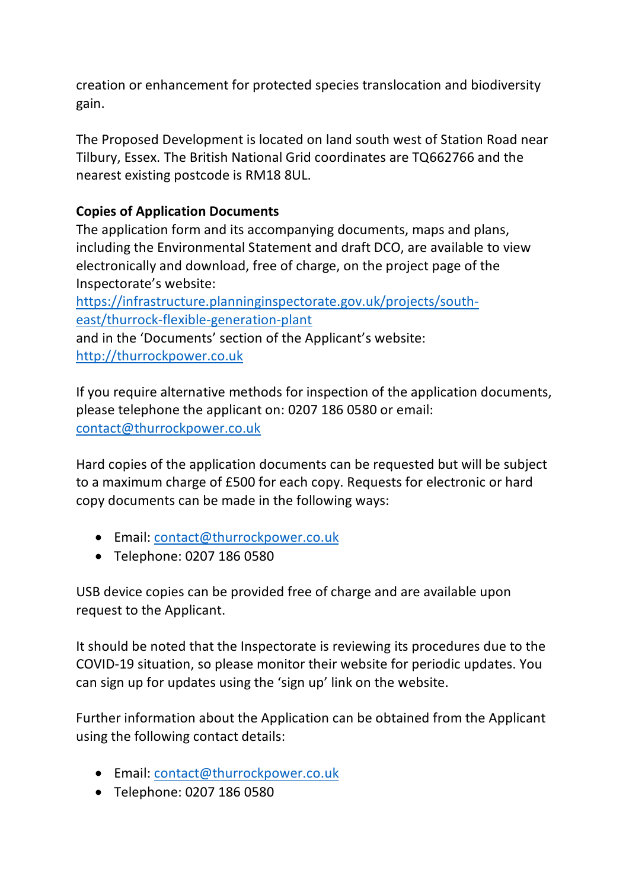creation or enhancement for protected species translocation and biodiversity gain.

The Proposed Development is located on land south west of Station Road near Tilbury, Essex. The British National Grid coordinates are TQ662766 and the nearest existing postcode is RM18 8UL.

# **Copies of Application Documents**

The application form and its accompanying documents, maps and plans, including the Environmental Statement and draft DCO, are available to view electronically and download, free of charge, on the project page of the Inspectorate's website:

[https://infrastructure.planninginspectorate.gov.uk/projects/south](https://infrastructure.planninginspectorate.gov.uk/projects/south-east/thurrock-flexible-generation-plant)[east/thurrock-flexible-generation-plant](https://infrastructure.planninginspectorate.gov.uk/projects/south-east/thurrock-flexible-generation-plant)

and in the 'Documents' section of the Applicant's website: [http://thurrockpower.co.uk](http://thurrockpower.co.uk/)

If you require alternative methods for inspection of the application documents, please telephone the applicant on: 0207 186 0580 or email: [contact@thurrockpower.co.uk](mailto:contact@thurrockpower.co.uk)

Hard copies of the application documents can be requested but will be subject to a maximum charge of £500 for each copy. Requests for electronic or hard copy documents can be made in the following ways:

- Email: [contact@thurrockpower.co.uk](mailto:contact@thurrockpower.co.uk)
- Telephone: 0207 186 0580

USB device copies can be provided free of charge and are available upon request to the Applicant.

It should be noted that the Inspectorate is reviewing its procedures due to the COVID-19 situation, so please monitor their website for periodic updates. You can sign up for updates using the 'sign up' link on the website.

Further information about the Application can be obtained from the Applicant using the following contact details:

- Email: [contact@thurrockpower.co.uk](mailto:contact@thurrockpower.co.uk)
- Telephone: 0207 186 0580